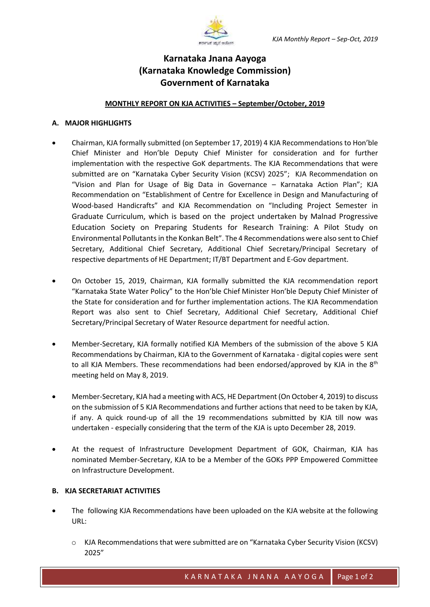

## **Karnataka Jnana Aayoga (Karnataka Knowledge Commission) Government of Karnataka**

## **MONTHLY REPORT ON KJA ACTIVITIES – September/October, 2019**

## **A. MAJOR HIGHLIGHTS**

- Chairman, KJA formally submitted (on September 17, 2019) 4 KJA Recommendations to Hon'ble Chief Minister and Hon'ble Deputy Chief Minister for consideration and for further implementation with the respective GoK departments. The KJA Recommendations that were submitted are on "Karnataka Cyber Security Vision (KCSV) 2025"; KJA Recommendation on "Vision and Plan for Usage of Big Data in Governance – Karnataka Action Plan"; KJA Recommendation on "Establishment of Centre for Excellence in Design and Manufacturing of Wood-based Handicrafts" and KJA Recommendation on "Including Project Semester in Graduate Curriculum, which is based on the project undertaken by Malnad Progressive Education Society on Preparing Students for Research Training: A Pilot Study on Environmental Pollutants in the Konkan Belt". The 4 Recommendations were also sent to Chief Secretary, Additional Chief Secretary, Additional Chief Secretary/Principal Secretary of respective departments of HE Department; IT/BT Department and E-Gov department.
- On October 15, 2019, Chairman, KJA formally submitted the KJA recommendation report "Karnataka State Water Policy" to the Hon'ble Chief Minister Hon'ble Deputy Chief Minister of the State for consideration and for further implementation actions. The KJA Recommendation Report was also sent to Chief Secretary, Additional Chief Secretary, Additional Chief Secretary/Principal Secretary of Water Resource department for needful action.
- Member-Secretary, KJA formally notified KJA Members of the submission of the above 5 KJA Recommendations by Chairman, KJA to the Government of Karnataka - digital copies were sent to all KJA Members. These recommendations had been endorsed/approved by KJA in the  $8<sup>th</sup>$ meeting held on May 8, 2019.
- Member-Secretary, KJA had a meeting with ACS, HE Department (On October 4, 2019) to discuss on the submission of 5 KJA Recommendations and further actions that need to be taken by KJA, if any. A quick round-up of all the 19 recommendations submitted by KJA till now was undertaken - especially considering that the term of the KJA is upto December 28, 2019.
- At the request of Infrastructure Development Department of GOK, Chairman, KJA has nominated Member-Secretary, KJA to be a Member of the GOKs PPP Empowered Committee on Infrastructure Development.

## **B. KJA SECRETARIAT ACTIVITIES**

- The following KJA Recommendations have been uploaded on the KJA website at the following URL:
	- o KJA Recommendations that were submitted are on "Karnataka Cyber Security Vision (KCSV) 2025"